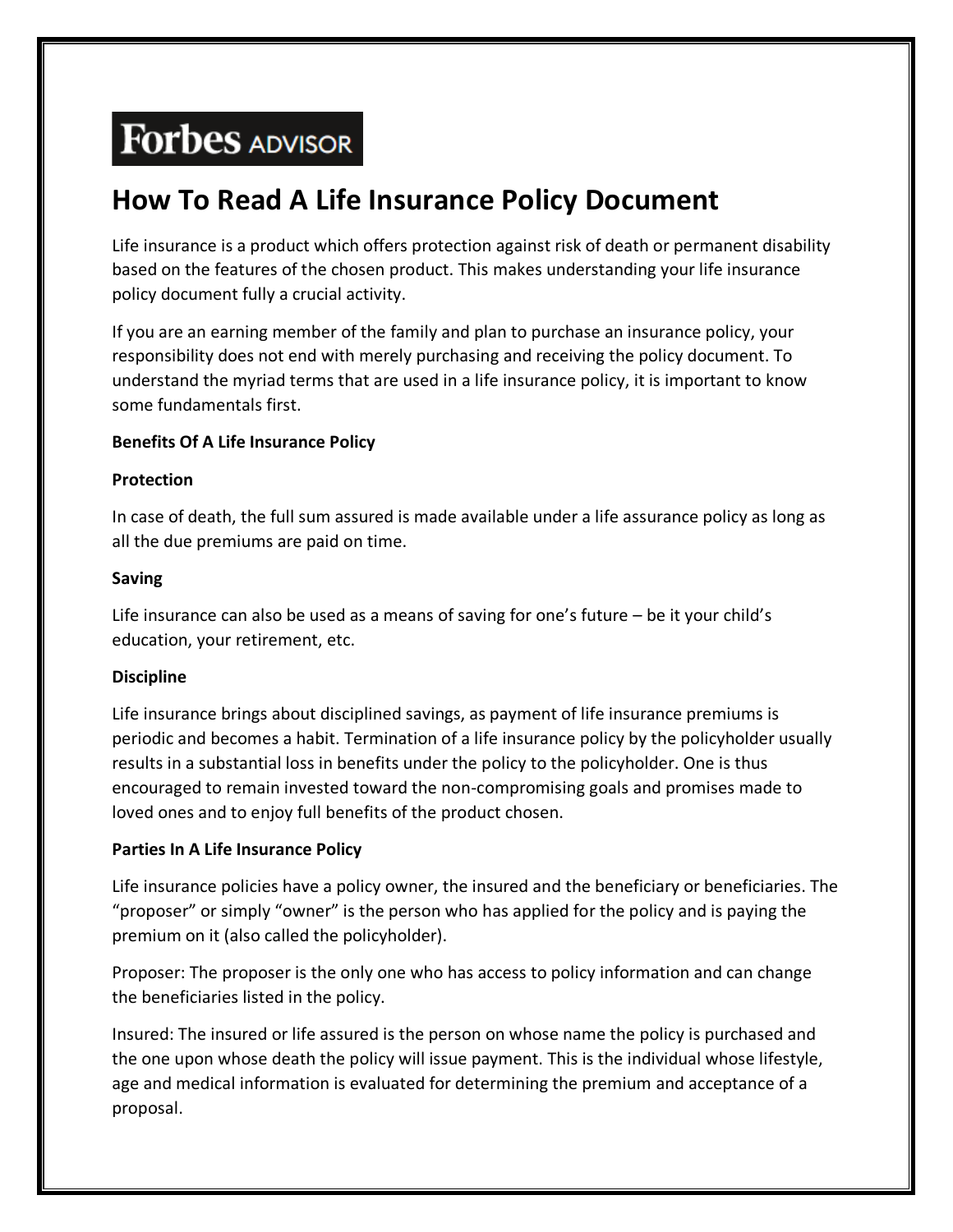# **Forbes ADVISOR**

# **How To Read A Life Insurance Policy Document**

Life insurance is a product which offers protection against risk of death or permanent disability based on the features of the chosen product. This makes understanding your life insurance policy document fully a crucial activity.

If you are an earning member of the family and plan to purchase an insurance policy, your responsibility does not end with merely purchasing and receiving the policy document. To understand the myriad terms that are used in a life insurance policy, it is important to know some fundamentals first.

# **Benefits Of A Life Insurance Policy**

#### **Protection**

In case of death, the full sum assured is made available under a life assurance policy as long as all the due premiums are paid on time.

# **Saving**

Life insurance can also be used as a means of saving for one's future – be it your child's education, your retirement, etc.

# **Discipline**

Life insurance brings about disciplined savings, as payment of life insurance premiums is periodic and becomes a habit. Termination of a life insurance policy by the policyholder usually results in a substantial loss in benefits under the policy to the policyholder. One is thus encouraged to remain invested toward the non-compromising goals and promises made to loved ones and to enjoy full benefits of the product chosen.

# **Parties In A Life Insurance Policy**

Life insurance policies have a policy owner, the insured and the beneficiary or beneficiaries. The "proposer" or simply "owner" is the person who has applied for the policy and is paying the premium on it (also called the policyholder).

Proposer: The proposer is the only one who has access to policy information and can change the beneficiaries listed in the policy.

Insured: The insured or life assured is the person on whose name the policy is purchased and the one upon whose death the policy will issue payment. This is the individual whose lifestyle, age and medical information is evaluated for determining the premium and acceptance of a proposal.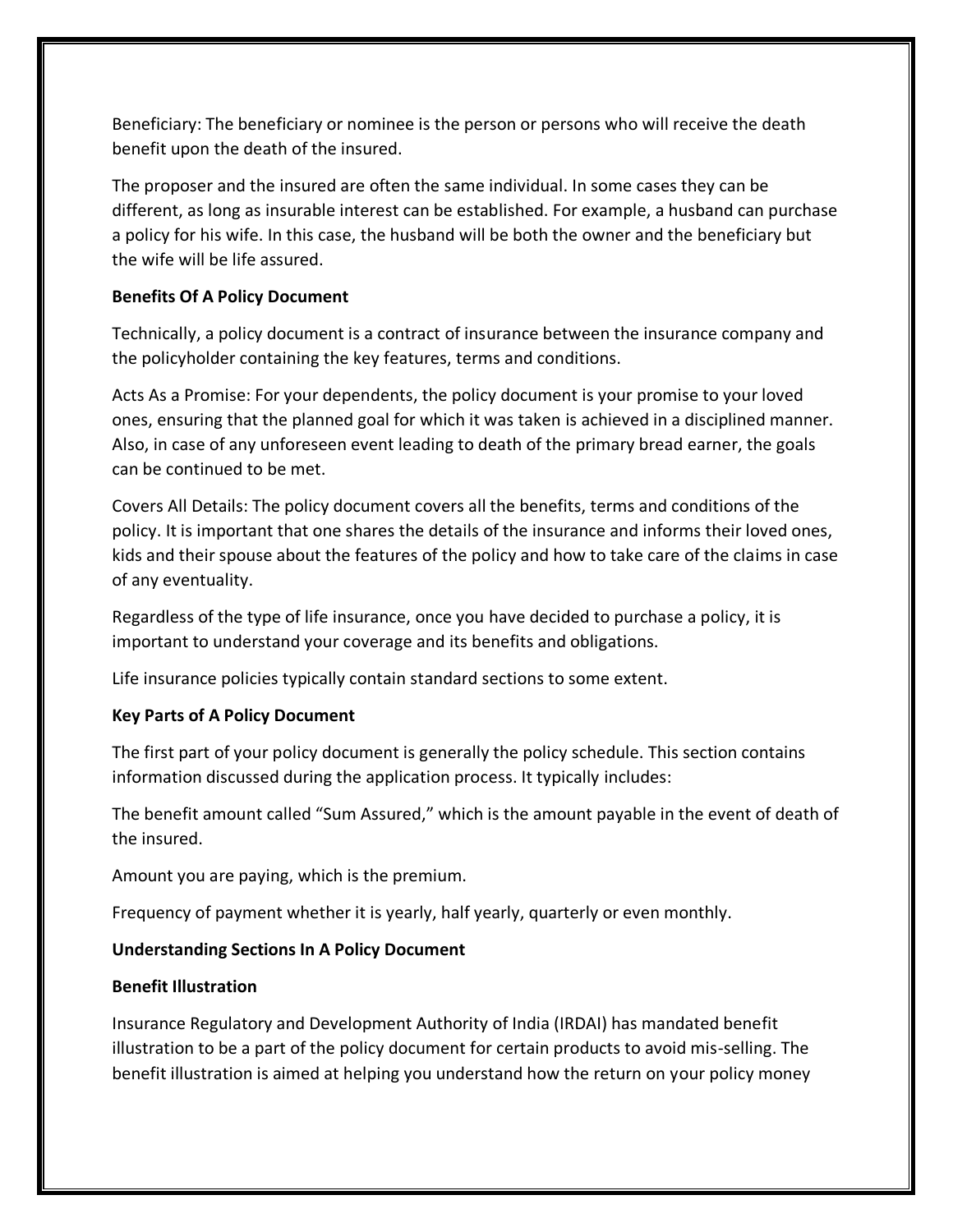Beneficiary: The beneficiary or nominee is the person or persons who will receive the death benefit upon the death of the insured.

The proposer and the insured are often the same individual. In some cases they can be different, as long as insurable interest can be established. For example, a husband can purchase a policy for his wife. In this case, the husband will be both the owner and the beneficiary but the wife will be life assured.

# **Benefits Of A Policy Document**

Technically, a policy document is a contract of insurance between the insurance company and the policyholder containing the key features, terms and conditions.

Acts As a Promise: For your dependents, the policy document is your promise to your loved ones, ensuring that the planned goal for which it was taken is achieved in a disciplined manner. Also, in case of any unforeseen event leading to death of the primary bread earner, the goals can be continued to be met.

Covers All Details: The policy document covers all the benefits, terms and conditions of the policy. It is important that one shares the details of the insurance and informs their loved ones, kids and their spouse about the features of the policy and how to take care of the claims in case of any eventuality.

Regardless of the type of life insurance, once you have decided to purchase a policy, it is important to understand your coverage and its benefits and obligations.

Life insurance policies typically contain standard sections to some extent.

# **Key Parts of A Policy Document**

The first part of your policy document is generally the policy schedule. This section contains information discussed during the application process. It typically includes:

The benefit amount called "Sum Assured," which is the amount payable in the event of death of the insured.

Amount you are paying, which is the premium.

Frequency of payment whether it is yearly, half yearly, quarterly or even monthly.

# **Understanding Sections In A Policy Document**

# **Benefit Illustration**

Insurance Regulatory and Development Authority of India (IRDAI) has mandated benefit illustration to be a part of the policy document for certain products to avoid mis-selling. The benefit illustration is aimed at helping you understand how the return on your policy money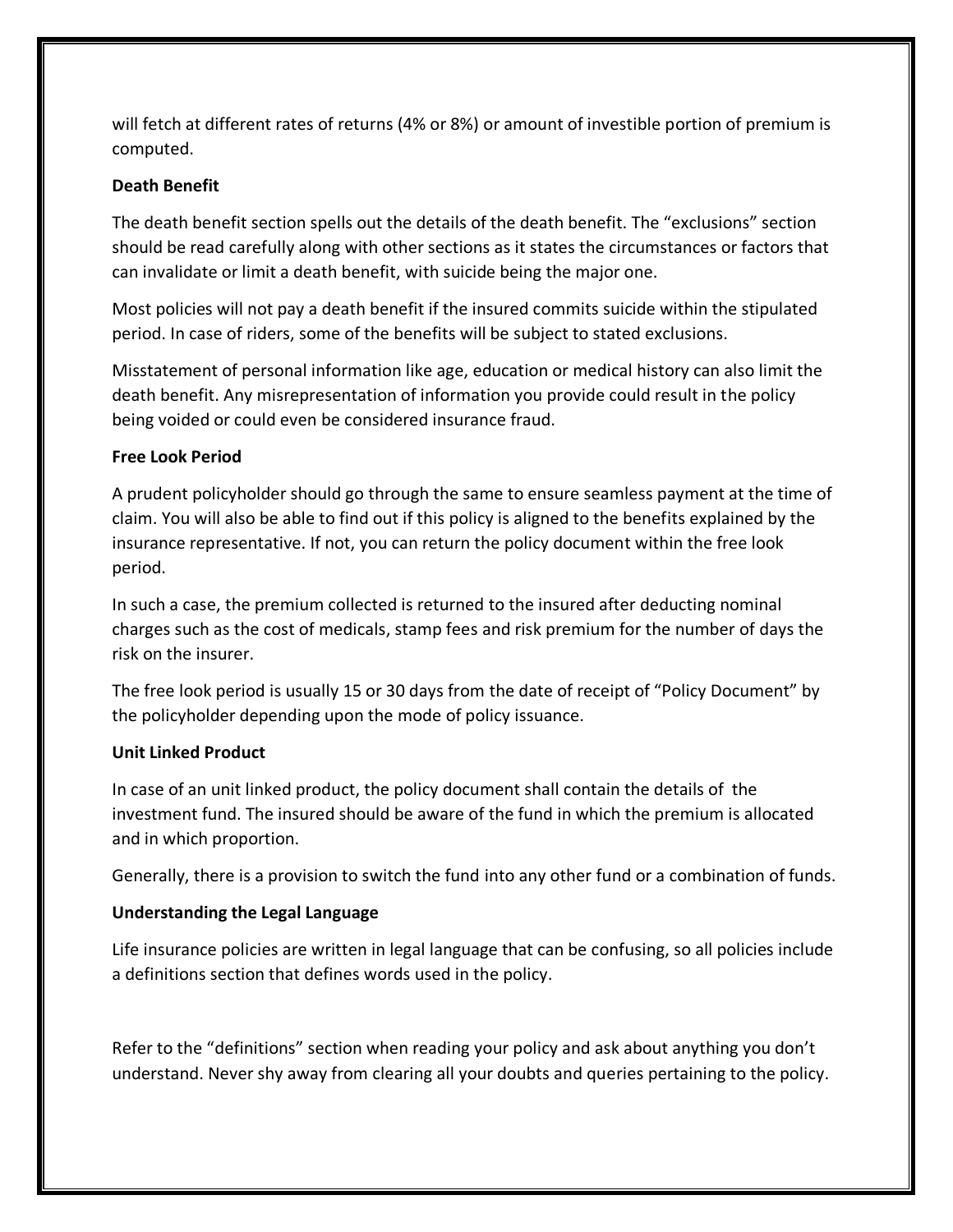will fetch at different rates of returns (4% or 8%) or amount of investible portion of premium is computed.

#### **Death Benefit**

The death benefit section spells out the details of the death benefit. The "exclusions" section should be read carefully along with other sections as it states the circumstances or factors that can invalidate or limit a death benefit, with suicide being the major one.

Most policies will not pay a death benefit if the insured commits suicide within the stipulated period. In case of riders, some of the benefits will be subject to stated exclusions.

Misstatement of personal information like age, education or medical history can also limit the death benefit. Any misrepresentation of information you provide could result in the policy being voided or could even be considered insurance fraud.

# **Free Look Period**

A prudent policyholder should go through the same to ensure seamless payment at the time of claim. You will also be able to find out if this policy is aligned to the benefits explained by the insurance representative. If not, you can return the policy document within the free look period.

In such a case, the premium collected is returned to the insured after deducting nominal charges such as the cost of medicals, stamp fees and risk premium for the number of days the risk on the insurer.

The free look period is usually 15 or 30 days from the date of receipt of "Policy Document" by the policyholder depending upon the mode of policy issuance.

#### **Unit Linked Product**

In case of an unit linked product, the policy document shall contain the details of the investment fund. The insured should be aware of the fund in which the premium is allocated and in which proportion.

Generally, there is a provision to switch the fund into any other fund or a combination of funds.

# **Understanding the Legal Language**

Life insurance policies are written in legal language that can be confusing, so all policies include a definitions section that defines words used in the policy.

Refer to the "definitions" section when reading your policy and ask about anything you don't understand. Never shy away from clearing all your doubts and queries pertaining to the policy.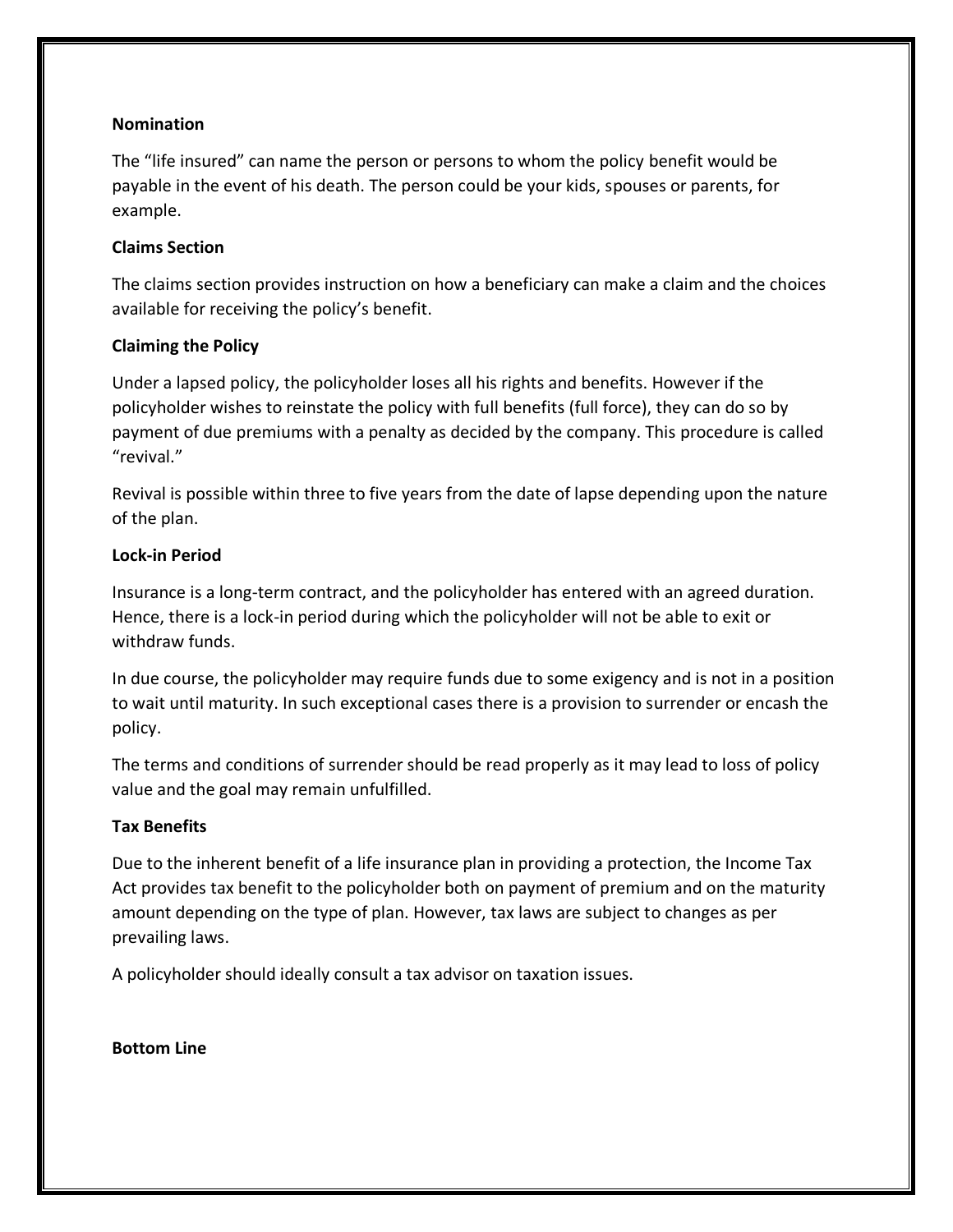# **Nomination**

The "life insured" can name the person or persons to whom the policy benefit would be payable in the event of his death. The person could be your kids, spouses or parents, for example.

# **Claims Section**

The claims section provides instruction on how a beneficiary can make a claim and the choices available for receiving the policy's benefit.

# **Claiming the Policy**

Under a lapsed policy, the policyholder loses all his rights and benefits. However if the policyholder wishes to reinstate the policy with full benefits (full force), they can do so by payment of due premiums with a penalty as decided by the company. This procedure is called "revival."

Revival is possible within three to five years from the date of lapse depending upon the nature of the plan.

# **Lock-in Period**

Insurance is a long-term contract, and the policyholder has entered with an agreed duration. Hence, there is a lock-in period during which the policyholder will not be able to exit or withdraw funds.

In due course, the policyholder may require funds due to some exigency and is not in a position to wait until maturity. In such exceptional cases there is a provision to surrender or encash the policy.

The terms and conditions of surrender should be read properly as it may lead to loss of policy value and the goal may remain unfulfilled.

#### **Tax Benefits**

Due to the inherent benefit of a life insurance plan in providing a protection, the Income Tax Act provides tax benefit to the policyholder both on payment of premium and on the maturity amount depending on the type of plan. However, tax laws are subject to changes as per prevailing laws.

A policyholder should ideally consult a tax advisor on taxation issues.

# **Bottom Line**